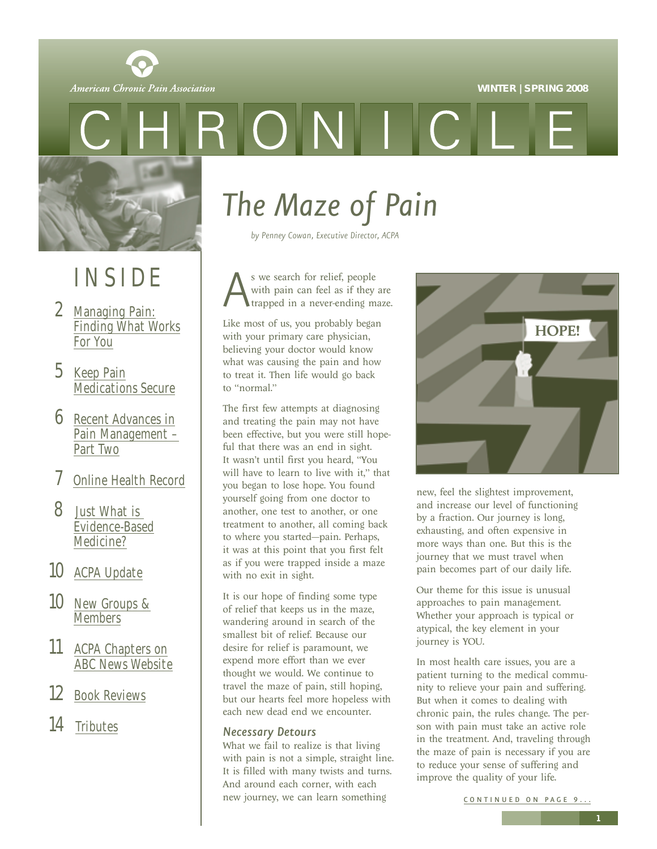

<span id="page-0-1"></span><span id="page-0-0"></span>**American Chronic Pain Association** 

## INSIDE

- 2 Managing Pain: [Finding What Works](#page-1-0) For You
- 5 Keep Pain [Medications Secure](#page-4-0)
- 6 Recent Advances in [Pain Management –](#page-5-0) Part Two
- 7 [Online Health Record](#page-6-0)
- 8 Just What is [Evidence-Based](#page-7-0) Medicine?
- 10 [ACPA Update](#page-9-0)
- 10 [New Groups &](#page-9-0) **Members**
- 11 ACPA Chapters on [ABC News Website](#page-10-0)
- **[Book Reviews](#page-11-0)**
- 14 [Tributes](#page-13-0)

# *The Maze of Pain*

*by Penney Cowan, Executive Director, ACPA*

s we search for relief, people with pain can feel as if they are trapped in a never-ending maze.

ON

Like most of us, you probably began with your primary care physician, believing your doctor would know what was causing the pain and how to treat it. Then life would go back to "normal."

The first few attempts at diagnosing and treating the pain may not have been effective, but you were still hopeful that there was an end in sight. It wasn't until first you heard, "You will have to learn to live with it," that you began to lose hope. You found yourself going from one doctor to another, one test to another, or one treatment to another, all coming back to where you started—pain. Perhaps, it was at this point that you first felt as if you were trapped inside a maze with no exit in sight.

It is our hope of finding some type of relief that keeps us in the maze, wandering around in search of the smallest bit of relief. Because our desire for relief is paramount, we expend more effort than we ever thought we would. We continue to travel the maze of pain, still hoping, but our hearts feel more hopeless with each new dead end we encounter.

#### *Necessary Detours*

What we fail to realize is that living with pain is not a simple, straight line. It is filled with many twists and turns. And around each corner, with each new journey, we can learn something



new, feel the slightest improvement, and increase our level of functioning by a fraction. Our journey is long, exhausting, and often expensive in more ways than one. But this is the journey that we must travel when pain becomes part of our daily life.

Our theme for this issue is unusual approaches to pain management. Whether your approach is typical or atypical, the key element in your journey is YOU.

In most health care issues, you are a patient turning to the medical community to relieve your pain and suffering. But when it comes to dealing with chronic pain, the rules change. The person with pain must take an active role in the treatment. And, traveling through the maze of pain is necessary if you are to reduce your sense of suffering and improve the quality of your life.

CONTINUED ON PAGE 9.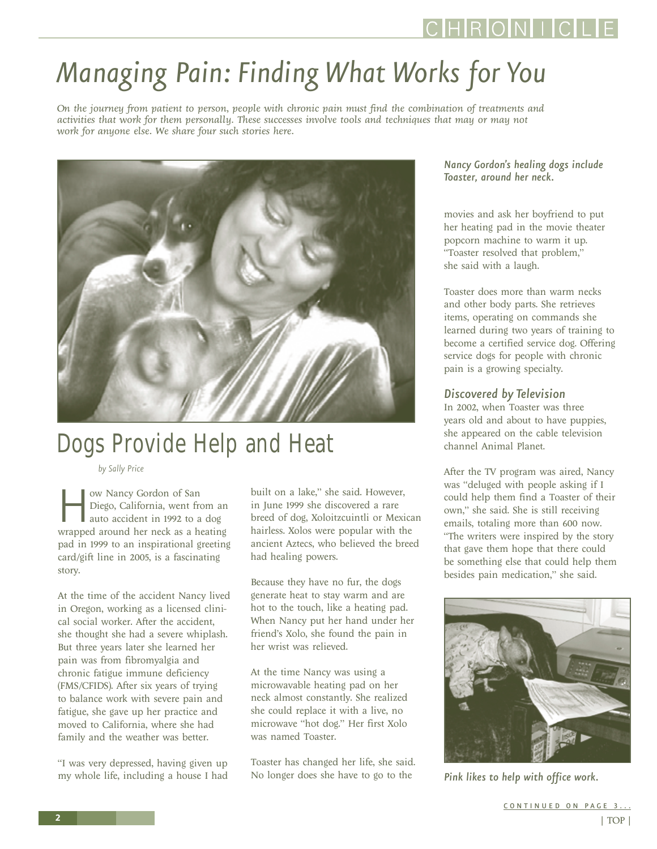# <span id="page-1-0"></span>*Managing Pain: Finding What Works for You*

*On the journey from patient to person, people with chronic pain must find the combination of treatments and activities that work for them personally. These successes involve tools and techniques that may or may not work for anyone else. We share four such stories here.*



### Dogs Provide Help and Heat

*by Sally Price*

How Nancy Gordon of San wrapped around her neck as a heating Diego, California, went from an auto accident in 1992 to a dog pad in 1999 to an inspirational greeting card/gift line in 2005, is a fascinating story.

At the time of the accident Nancy lived in Oregon, working as a licensed clinical social worker. After the accident, she thought she had a severe whiplash. But three years later she learned her pain was from fibromyalgia and chronic fatigue immune deficiency (FMS/CFIDS). After six years of trying to balance work with severe pain and fatigue, she gave up her practice and moved to California, where she had family and the weather was better.

"I was very depressed, having given up my whole life, including a house I had

built on a lake," she said. However, in June 1999 she discovered a rare breed of dog, Xoloitzcuintli or Mexican hairless. Xolos were popular with the ancient Aztecs, who believed the breed had healing powers.

Because they have no fur, the dogs generate heat to stay warm and are hot to the touch, like a heating pad. When Nancy put her hand under her friend's Xolo, she found the pain in her wrist was relieved.

At the time Nancy was using a microwavable heating pad on her neck almost constantly. She realized she could replace it with a live, no microwave "hot dog." Her first Xolo was named Toaster.

Toaster has changed her life, she said. No longer does she have to go to the

*Nancy Gordon's healing dogs include Toaster, around her neck.*

movies and ask her boyfriend to put her heating pad in the movie theater popcorn machine to warm it up. "Toaster resolved that problem," she said with a laugh.

Toaster does more than warm necks and other body parts. She retrieves items, operating on commands she learned during two years of training to become a certified service dog. Offering service dogs for people with chronic pain is a growing specialty.

#### *Discovered by Television*

In 2002, when Toaster was three years old and about to have puppies, she appeared on the cable television channel Animal Planet.

After the TV program was aired, Nancy was "deluged with people asking if I could help them find a Toaster of their own," she said. She is still receiving emails, totaling more than 600 now. "The writers were inspired by the story that gave them hope that there could be something else that could help them besides pain medication," she said.



*Pink likes to help with office work.*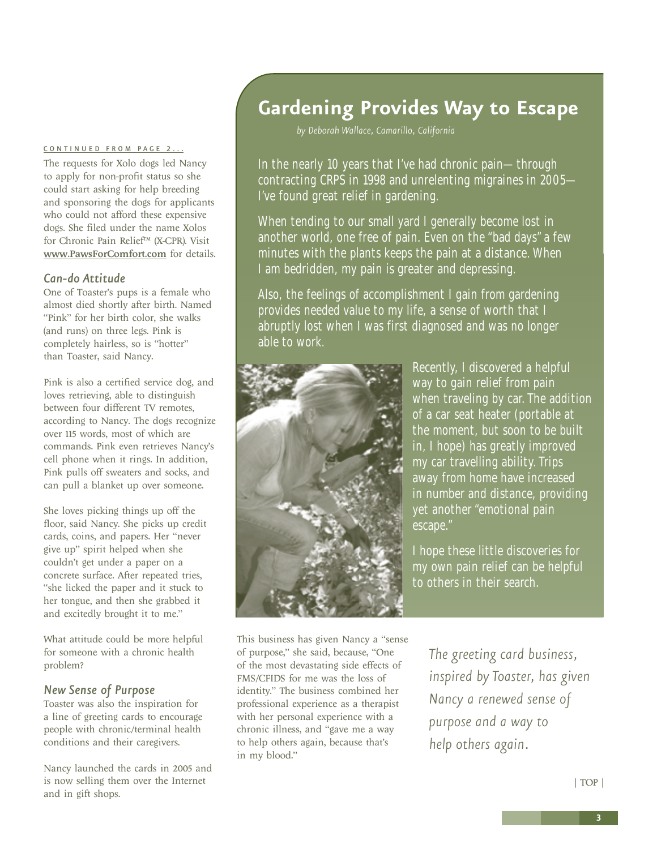#### <span id="page-2-0"></span>[CONTINUED FROM PAGE 2...](#page-1-0)

The requests for Xolo dogs led Nancy to apply for non-profit status so she could start asking for help breeding and sponsoring the dogs for applicants who could not afford these expensive dogs. She filed under the name Xolos for Chronic Pain Relief™ (X-CPR). Visit <www.PawsForComfort.com> for details.

#### *Can-do Attitude*

One of Toaster's pups is a female who almost died shortly after birth. Named "Pink" for her birth color, she walks (and runs) on three legs. Pink is completely hairless, so is "hotter" than Toaster, said Nancy.

Pink is also a certified service dog, and loves retrieving, able to distinguish between four different TV remotes, according to Nancy. The dogs recognize over 115 words, most of which are commands. Pink even retrieves Nancy's cell phone when it rings. In addition, Pink pulls off sweaters and socks, and can pull a blanket up over someone.

She loves picking things up off the floor, said Nancy. She picks up credit cards, coins, and papers. Her "never give up" spirit helped when she couldn't get under a paper on a concrete surface. After repeated tries, "she licked the paper and it stuck to her tongue, and then she grabbed it and excitedly brought it to me."

What attitude could be more helpful for someone with a chronic health problem?

#### *New Sense of Purpose*

Toaster was also the inspiration for a line of greeting cards to encourage people with chronic/terminal health conditions and their caregivers.

Nancy launched the cards in 2005 and is now selling them over the Internet and in gift shops.

### **Gardening Provides Way to Escape**

*by Deborah Wallace, Camarillo, California*

In the nearly 10 years that I've had chronic pain—through contracting CRPS in 1998 and unrelenting migraines in 2005— I've found great relief in gardening.

When tending to our small yard I generally become lost in another world, one free of pain. Even on the "bad days" a few minutes with the plants keeps the pain at a distance. When I am bedridden, my pain is greater and depressing.

Also, the feelings of accomplishment I gain from gardening provides needed value to my life, a sense of worth that I abruptly lost when I was first diagnosed and was no longer able to work.



Recently, I discovered a helpful way to gain relief from pain when traveling by car. The addition of a car seat heater (portable at the moment, but soon to be built in, I hope) has greatly improved my car travelling ability. Trips away from home have increased in number and distance, providing yet another "emotional pain escape."

I hope these little discoveries for my own pain relief can be helpful to others in their search.

This business has given Nancy a "sense of purpose," she said, because, "One of the most devastating side effects of FMS/CFIDS for me was the loss of identity." The business combined her professional experience as a therapist with her personal experience with a chronic illness, and "gave me a way to help others again, because that's in my blood."

*The greeting card business, inspired by Toaster, has given Nancy a renewed sense of purpose and a way to help others again.*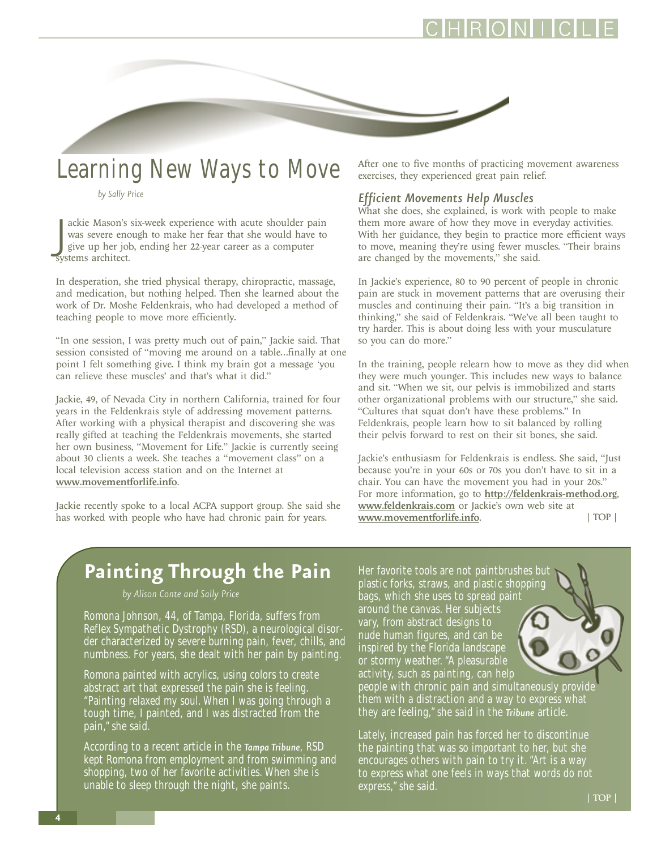### **IOINIL**



### Learning New Ways to Move

*by Sally Price*

ackie Mason's<br>
was severe enc<br>
give up her jol<br>
systems architect. ackie Mason's six-week experience with acute shoulder pain was severe enough to make her fear that she would have to give up her job, ending her 22-year career as a computer

In desperation, she tried physical therapy, chiropractic, massage, and medication, but nothing helped. Then she learned about the work of Dr. Moshe Feldenkrais, who had developed a method of teaching people to move more efficiently.

"In one session, I was pretty much out of pain," Jackie said. That session consisted of "moving me around on a table…finally at one point I felt something give. I think my brain got a message 'you can relieve these muscles' and that's what it did."

Jackie, 49, of Nevada City in northern California, trained for four years in the Feldenkrais style of addressing movement patterns. After working with a physical therapist and discovering she was really gifted at teaching the Feldenkrais movements, she started her own business, "Movement for Life." Jackie is currently seeing about 30 clients a week. She teaches a "movement class" on a local television access station and on the Internet at www.movementforlife.info.

Jackie recently spoke to a local ACPA support group. She said she has worked with people who have had chronic pain for years.

After one to five months of practicing movement awareness exercises, they experienced great pain relief.

#### *Efficient Movements Help Muscles*

What she does, she explained, is work with people to make them more aware of how they move in everyday activities. With her guidance, they begin to practice more efficient ways to move, meaning they're using fewer muscles. "Their brains are changed by the movements," she said.

In Jackie's experience, 80 to 90 percent of people in chronic pain are stuck in movement patterns that are overusing their muscles and continuing their pain. "It's a big transition in thinking," she said of Feldenkrais. "We've all been taught to try harder. This is about doing less with your musculature so you can do more."

In the training, people relearn how to move as they did when they were much younger. This includes new ways to balance and sit. "When we sit, our pelvis is immobilized and starts other organizational problems with our structure," she said. "Cultures that squat don't have these problems." In Feldenkrais, people learn how to sit balanced by rolling their pelvis forward to rest on their sit bones, she said.

Jackie's enthusiasm for Feldenkrais is endless. She said, "Just because you're in your 60s or 70s you don't have to sit in a chair. You can have the movement you had in your 20s." For more information, go to http://feldenkrais-method.org, www.feldenkrais.com or Jackie's own web site at www.movementforlife.info. [| TOP |](#page-0-1)

### **Painting Through the Pain**

#### *by Alison Conte and Sally Price*

Romona Johnson, 44, of Tampa, Florida, suffers from Reflex Sympathetic Dystrophy (RSD), a neurological disorder characterized by severe burning pain, fever, chills, and numbness. For years, she dealt with her pain by painting.

Romona painted with acrylics, using colors to create abstract art that expressed the pain she is feeling. "Painting relaxed my soul. When I was going through a tough time, I painted, and I was distracted from the pain," she said.

According to a recent article in the *Tampa Tribune*, RSD kept Romona from employment and from swimming and shopping, two of her favorite activities. When she is unable to sleep through the night, she paints.

Her favorite tools are not paintbrushes but plastic forks, straws, and plastic shopping bags, which she uses to spread paint around the canvas. Her subjects vary, from abstract designs to nude human figures, and can be inspired by the Florida landscape or stormy weather. "A pleasurable activity, such as painting, can help

people with chronic pain and simultaneously provide them with a distraction and a way to express what they are feeling," she said in the *Tribune* article.

Lately, increased pain has forced her to discontinue the painting that was so important to her, but she encourages others with pain to try it. "Art is a way to express what one feels in ways that words do not express," she said.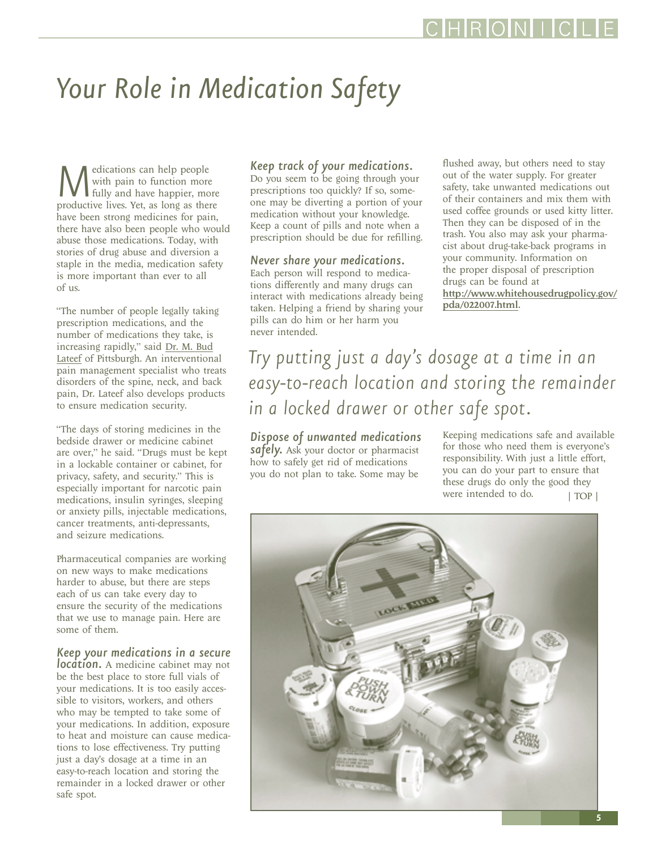### <span id="page-4-0"></span>*Your Role in Medication Safety*

Medications can help people<br>with pain to function more<br>fully and have happier, more<br>productive lives. Yet, as long as there with pain to function more fully and have happier, more have been strong medicines for pain, there have also been people who would abuse those medications. Today, with stories of drug abuse and diversion a staple in the media, medication safety is more important than ever to all of us.

"The number of people legally taking prescription medications, and the number of medications they take, is [increasing rapidly," said Dr. M. Bud](http://www.lockmed.com) Lateef of Pittsburgh. An interventional pain management specialist who treats disorders of the spine, neck, and back pain, Dr. Lateef also develops products to ensure medication security.

"The days of storing medicines in the bedside drawer or medicine cabinet are over," he said. "Drugs must be kept in a lockable container or cabinet, for privacy, safety, and security." This is especially important for narcotic pain medications, insulin syringes, sleeping or anxiety pills, injectable medications, cancer treatments, anti-depressants, and seizure medications.

Pharmaceutical companies are working on new ways to make medications harder to abuse, but there are steps each of us can take every day to ensure the security of the medications that we use to manage pain. Here are some of them.

*Keep your medications in a secure location.* A medicine cabinet may not be the best place to store full vials of your medications. It is too easily accessible to visitors, workers, and others who may be tempted to take some of your medications. In addition, exposure to heat and moisture can cause medications to lose effectiveness. Try putting just a day's dosage at a time in an easy-to-reach location and storing the remainder in a locked drawer or other safe spot.

#### *Keep track of your medications.*

Do you seem to be going through your prescriptions too quickly? If so, someone may be diverting a portion of your medication without your knowledge. Keep a count of pills and note when a prescription should be due for refilling.

#### *Never share your medications.*

Each person will respond to medications differently and many drugs can interact with medications already being taken. Helping a friend by sharing your pills can do him or her harm you never intended.

flushed away, but others need to stay out of the water supply. For greater safety, take unwanted medications out of their containers and mix them with used coffee grounds or used kitty litter. Then they can be disposed of in the trash. You also may ask your pharmacist about drug-take-back programs in your community. Information on the proper disposal of prescription drugs can be found at http://www.whitehousedrugpolicy.gov/ pda/022007.html.

*Try putting just a day's dosage at a time in an easy-to-reach location and storing the remainder in a locked drawer or other safe spot.*

*Dispose of unwanted medications* **safely.** Ask your doctor or pharmacist how to safely get rid of medications you do not plan to take. Some may be

Keeping medications safe and available for those who need them is everyone's responsibility. With just a little effort, you can do your part to ensure that these drugs do only the good they were intended to do. [| TOP |](#page-0-1)

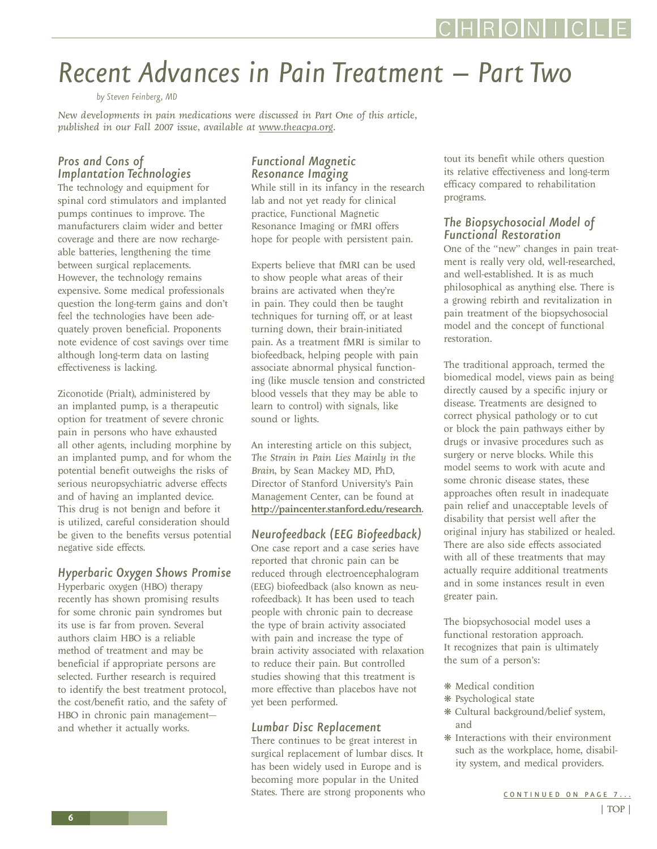### <span id="page-5-0"></span>*Recent Advances in Pain Treatment – Part Two*

*by Steven Feinberg, MD*

*New developments in pain medications were discussed in Part One of this article, published in our Fall 2007 issue, available at www.theacpa.org.*

#### *Pros and Cons of Implantation Technologies*

The technology and equipment for spinal cord stimulators and implanted pumps continues to improve. The manufacturers claim wider and better coverage and there are now rechargeable batteries, lengthening the time between surgical replacements. However, the technology remains expensive. Some medical professionals question the long-term gains and don't feel the technologies have been adequately proven beneficial. Proponents note evidence of cost savings over time although long-term data on lasting effectiveness is lacking.

Ziconotide (Prialt), administered by an implanted pump, is a therapeutic option for treatment of severe chronic pain in persons who have exhausted all other agents, including morphine by an implanted pump, and for whom the potential benefit outweighs the risks of serious neuropsychiatric adverse effects and of having an implanted device. This drug is not benign and before it is utilized, careful consideration should be given to the benefits versus potential negative side effects.

#### *Hyperbaric Oxygen Shows Promise*

Hyperbaric oxygen (HBO) therapy recently has shown promising results for some chronic pain syndromes but its use is far from proven. Several authors claim HBO is a reliable method of treatment and may be beneficial if appropriate persons are selected. Further research is required to identify the best treatment protocol, the cost/benefit ratio, and the safety of HBO in chronic pain management and whether it actually works.

#### *Functional Magnetic Resonance Imaging*

While still in its infancy in the research lab and not yet ready for clinical practice, Functional Magnetic Resonance Imaging or fMRI offers hope for people with persistent pain.

Experts believe that fMRI can be used to show people what areas of their brains are activated when they're in pain. They could then be taught techniques for turning off, or at least turning down, their brain-initiated pain. As a treatment fMRI is similar to biofeedback, helping people with pain associate abnormal physical functioning (like muscle tension and constricted blood vessels that they may be able to learn to control) with signals, like sound or lights.

An interesting article on this subject, *The Strain in Pain Lies Mainly in the Brain*, by Sean Mackey MD, PhD, Director of Stanford University's Pain Management Center, can be found at http://paincenter.stanford.edu/research.

#### *Neurofeedback (EEG Biofeedback)*

One case report and a case series have reported that chronic pain can be reduced through electroencephalogram (EEG) biofeedback (also known as neurofeedback). It has been used to teach people with chronic pain to decrease the type of brain activity associated with pain and increase the type of brain activity associated with relaxation to reduce their pain. But controlled studies showing that this treatment is more effective than placebos have not yet been performed.

#### *Lumbar Disc Replacement*

There continues to be great interest in surgical replacement of lumbar discs. It has been widely used in Europe and is becoming more popular in the United States. There are strong proponents who tout its benefit while others question its relative effectiveness and long-term efficacy compared to rehabilitation programs.

#### *The Biopsychosocial Model of Functional Restoration*

One of the "new" changes in pain treatment is really very old, well-researched, and well-established. It is as much philosophical as anything else. There is a growing rebirth and revitalization in pain treatment of the biopsychosocial model and the concept of functional restoration.

The traditional approach, termed the biomedical model, views pain as being directly caused by a specific injury or disease. Treatments are designed to correct physical pathology or to cut or block the pain pathways either by drugs or invasive procedures such as surgery or nerve blocks. While this model seems to work with acute and some chronic disease states, these approaches often result in inadequate pain relief and unacceptable levels of disability that persist well after the original injury has stabilized or healed. There are also side effects associated with all of these treatments that may actually require additional treatments and in some instances result in even greater pain.

The biopsychosocial model uses a functional restoration approach. It recognizes that pain is ultimately the sum of a person's:

- ❋ Medical condition
- ❋ Psychological state
- ❋ Cultural background/belief system, and
- ❋ Interactions with their environment such as the workplace, home, disability system, and medical providers.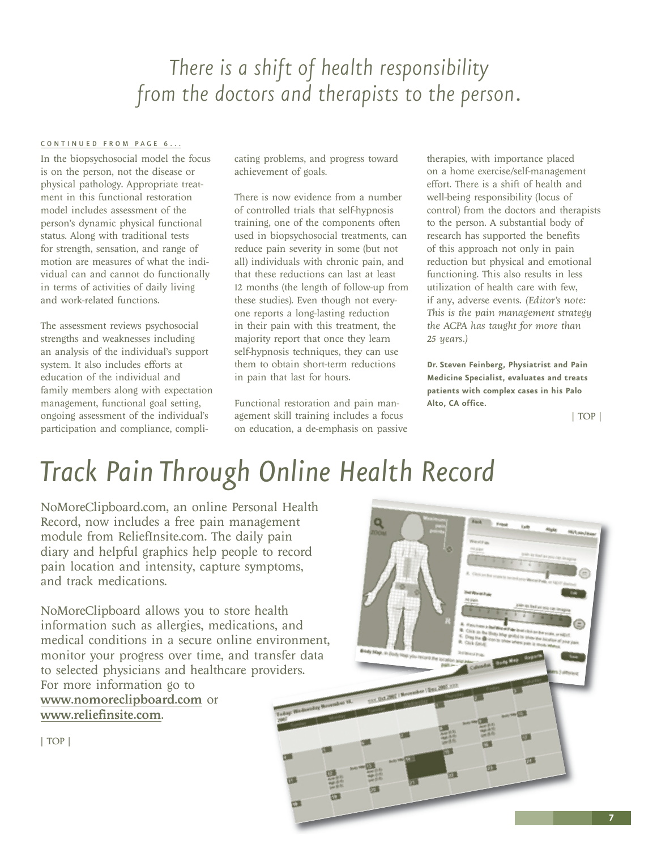<span id="page-6-0"></span>*There is a shift of health responsibility from the doctors and therapists to the person.*

#### [CONTINUED FROM PAGE 6...](#page-5-0)

In the biopsychosocial model the focus is on the person, not the disease or physical pathology. Appropriate treatment in this functional restoration model includes assessment of the person's dynamic physical functional status. Along with traditional tests for strength, sensation, and range of motion are measures of what the individual can and cannot do functionally in terms of activities of daily living and work-related functions.

The assessment reviews psychosocial strengths and weaknesses including an analysis of the individual's support system. It also includes efforts at education of the individual and family members along with expectation management, functional goal setting, ongoing assessment of the individual's participation and compliance, complicating problems, and progress toward achievement of goals.

There is now evidence from a number of controlled trials that self-hypnosis training, one of the components often used in biopsychosocial treatments, can reduce pain severity in some (but not all) individuals with chronic pain, and that these reductions can last at least 12 months (the length of follow-up from these studies). Even though not everyone reports a long-lasting reduction in their pain with this treatment, the majority report that once they learn self-hypnosis techniques, they can use them to obtain short-term reductions in pain that last for hours.

Functional restoration and pain management skill training includes a focus on education, a de-emphasis on passive therapies, with importance placed on a home exercise/self-management effort. There is a shift of health and well-being responsibility (locus of control) from the doctors and therapists to the person. A substantial body of research has supported the benefits of this approach not only in pain reduction but physical and emotional functioning. This also results in less utilization of health care with few, if any, adverse events. *(Editor's note: This is the pain management strategy the ACPA has taught for more than 25 years.)*

**Dr. Steven Feinberg, Physiatrist and Pain Medicine Specialist, evaluates and treats patients with complex cases in his Palo Alto, CA office.**

[| TOP |](#page-0-1)

## *Track Pain Through Online Health Record*

NoMoreClipboard.com, an online Personal Health Record, now includes a free pain management module from ReliefInsite.com. The daily pain diary and helpful graphics help people to record pain location and intensity, capture symptoms, and track medications.

NoMoreClipboard allows you to store health information such as allergies, medications, and medical conditions in a secure online environment, monitor your progress over time, and transfer data to selected physicians and healthcare providers. For more information go to www.nomoreclipboard.com or www.reliefinsite.com.

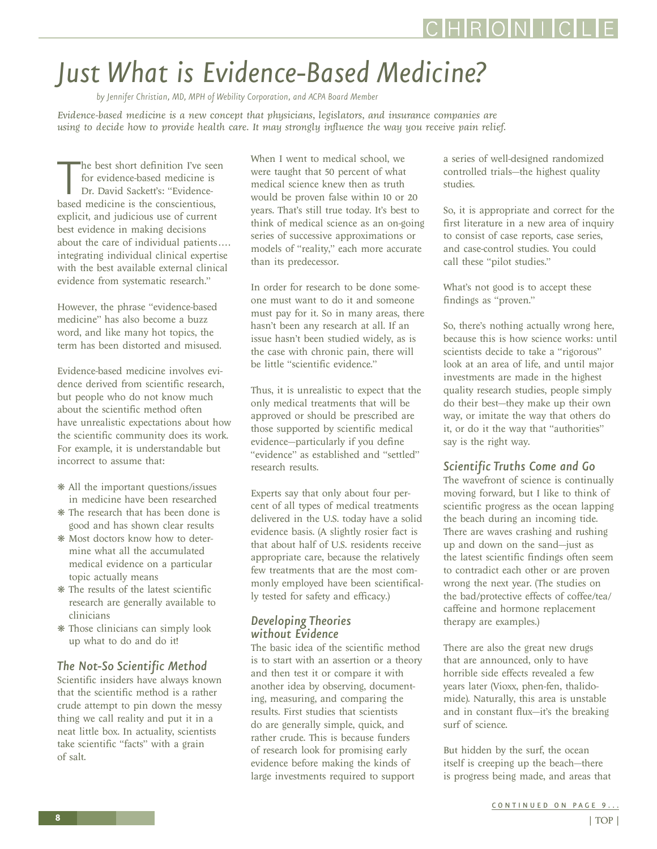## <span id="page-7-0"></span>*Just What is Evidence-Based Medicine?*

*by Jennifer Christian, MD, MPH of Webility Corporation, and ACPA Board Member*

*Evidence-based medicine is a new concept that physicians, legislators, and insurance companies are using to decide how to provide health care. It may strongly influence the way you receive pain relief.* 

The best short definition I've see<br>for evidence-based medicine is<br>Dr. David Sackett's: "Evidence-<br>based medicine is the conscientious, he best short definition I've seen for evidence-based medicine is Dr. David Sackett's: "Evidenceexplicit, and judicious use of current best evidence in making decisions about the care of individual patients.... integrating individual clinical expertise with the best available external clinical evidence from systematic research."

However, the phrase "evidence-based medicine" has also become a buzz word, and like many hot topics, the term has been distorted and misused.

Evidence-based medicine involves evidence derived from scientific research, but people who do not know much about the scientific method often have unrealistic expectations about how the scientific community does its work. For example, it is understandable but incorrect to assume that:

- ❋ All the important questions/issues in medicine have been researched
- ❋ The research that has been done is good and has shown clear results
- ❋ Most doctors know how to determine what all the accumulated medical evidence on a particular topic actually means
- ❋ The results of the latest scientific research are generally available to clinicians
- ❋ Those clinicians can simply look up what to do and do it!

#### *The Not-So Scientific Method*

Scientific insiders have always known that the scientific method is a rather crude attempt to pin down the messy thing we call reality and put it in a neat little box. In actuality, scientists take scientific "facts" with a grain of salt.

When I went to medical school, we were taught that 50 percent of what medical science knew then as truth would be proven false within 10 or 20 years. That's still true today. It's best to think of medical science as an on-going series of successive approximations or models of "reality," each more accurate than its predecessor.

In order for research to be done someone must want to do it and someone must pay for it. So in many areas, there hasn't been any research at all. If an issue hasn't been studied widely, as is the case with chronic pain, there will be little "scientific evidence."

Thus, it is unrealistic to expect that the only medical treatments that will be approved or should be prescribed are those supported by scientific medical evidence—particularly if you define "evidence" as established and "settled" research results.

Experts say that only about four percent of all types of medical treatments delivered in the U.S. today have a solid evidence basis. (A slightly rosier fact is that about half of U.S. residents receive appropriate care, because the relatively few treatments that are the most commonly employed have been scientifically tested for safety and efficacy.)

#### *Developing Theories without Evidence*

The basic idea of the scientific method is to start with an assertion or a theory and then test it or compare it with another idea by observing, documenting, measuring, and comparing the results. First studies that scientists do are generally simple, quick, and rather crude. This is because funders of research look for promising early evidence before making the kinds of large investments required to support

a series of well-designed randomized controlled trials—the highest quality studies.

So, it is appropriate and correct for the first literature in a new area of inquiry to consist of case reports, case series, and case-control studies. You could call these "pilot studies."

What's not good is to accept these findings as "proven."

So, there's nothing actually wrong here, because this is how science works: until scientists decide to take a "rigorous" look at an area of life, and until major investments are made in the highest quality research studies, people simply do their best—they make up their own way, or imitate the way that others do it, or do it the way that "authorities" say is the right way.

#### *Scientific Truths Come and Go*

The wavefront of science is continually moving forward, but I like to think of scientific progress as the ocean lapping the beach during an incoming tide. There are waves crashing and rushing up and down on the sand—just as the latest scientific findings often seem to contradict each other or are proven wrong the next year. (The studies on the bad/protective effects of coffee/tea/ caffeine and hormone replacement therapy are examples.)

There are also the great new drugs that are announced, only to have horrible side effects revealed a few years later (Vioxx, phen-fen, thalidomide). Naturally, this area is unstable and in constant flux—it's the breaking surf of science.

But hidden by the surf, the ocean itself is creeping up the beach—there is progress being made, and areas that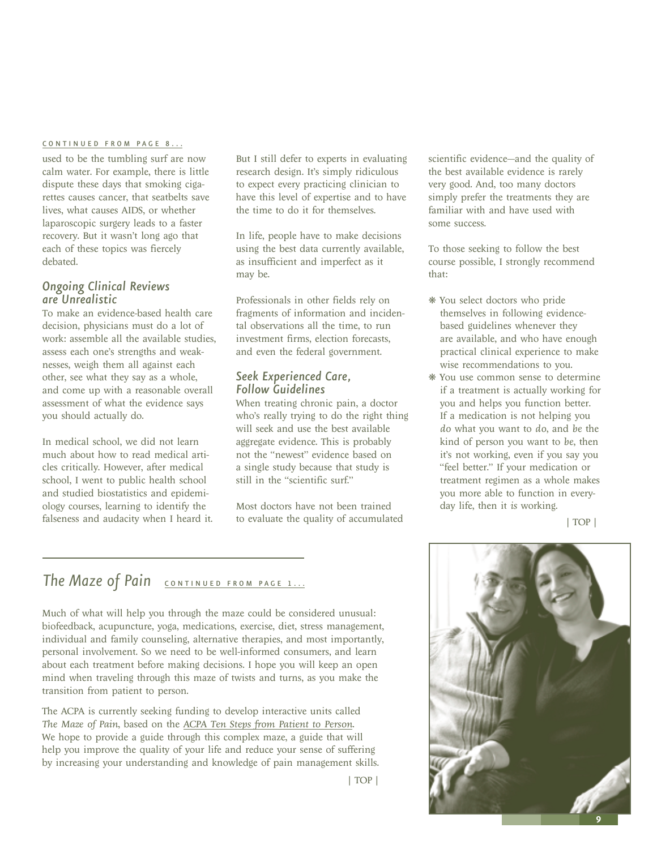#### <span id="page-8-0"></span>[CONTINUED FROM PAGE 8...](#page-7-0)

used to be the tumbling surf are now calm water. For example, there is little dispute these days that smoking cigarettes causes cancer, that seatbelts save lives, what causes AIDS, or whether laparoscopic surgery leads to a faster recovery. But it wasn't long ago that each of these topics was fiercely debated.

#### *Ongoing Clinical Reviews are Unrealistic*

To make an evidence-based health care decision, physicians must do a lot of work: assemble all the available studies, assess each one's strengths and weaknesses, weigh them all against each other, see what they say as a whole, and come up with a reasonable overall assessment of what the evidence says you should actually do.

In medical school, we did not learn much about how to read medical articles critically. However, after medical school, I went to public health school and studied biostatistics and epidemiology courses, learning to identify the falseness and audacity when I heard it.

But I still defer to experts in evaluating research design. It's simply ridiculous to expect every practicing clinician to have this level of expertise and to have the time to do it for themselves.

In life, people have to make decisions using the best data currently available, as insufficient and imperfect as it may be.

Professionals in other fields rely on fragments of information and incidental observations all the time, to run investment firms, election forecasts, and even the federal government.

#### *Seek Experienced Care, Follow Guidelines*

When treating chronic pain, a doctor who's really trying to do the right thing will seek and use the best available aggregate evidence. This is probably not the "newest" evidence based on a single study because that study is still in the "scientific surf."

Most doctors have not been trained to evaluate the quality of accumulated

scientific evidence—and the quality of the best available evidence is rarely very good. And, too many doctors simply prefer the treatments they are familiar with and have used with some success.

To those seeking to follow the best course possible, I strongly recommend that:

- ❋ You select doctors who pride themselves in following evidencebased guidelines whenever they are available, and who have enough practical clinical experience to make wise recommendations to you.
- ❋ You use common sense to determine if a treatment is actually working for you and helps you function better. If a medication is not helping you *do* what you want to *do*, and *be* the kind of person you want to *be*, then it's not working, even if you say you "feel better." If your medication or treatment regimen as a whole makes you more able to function in everyday life, then it *is* working.

[| TOP |](#page-0-1)

### The Maze of Pain **[CONTINUED FROM PAGE 1...](#page-0-1)**

Much of what will help you through the maze could be considered unusual: biofeedback, acupuncture, yoga, medications, exercise, diet, stress management, individual and family counseling, alternative therapies, and most importantly, personal involvement. So we need to be well-informed consumers, and learn about each treatment before making decisions. I hope you will keep an open mind when traveling through this maze of twists and turns, as you make the transition from patient to person.

The ACPA is currently seeking funding to develop interactive units called *The Maze of Pain*, based on the *ACPA [Ten Steps from Patient to Person](http://www.theacpa.org/people/ten_steps.asp)*. We hope to provide a guide through this complex maze, a guide that will help you improve the quality of your life and reduce your sense of suffering by increasing your understanding and knowledge of pain management skills.

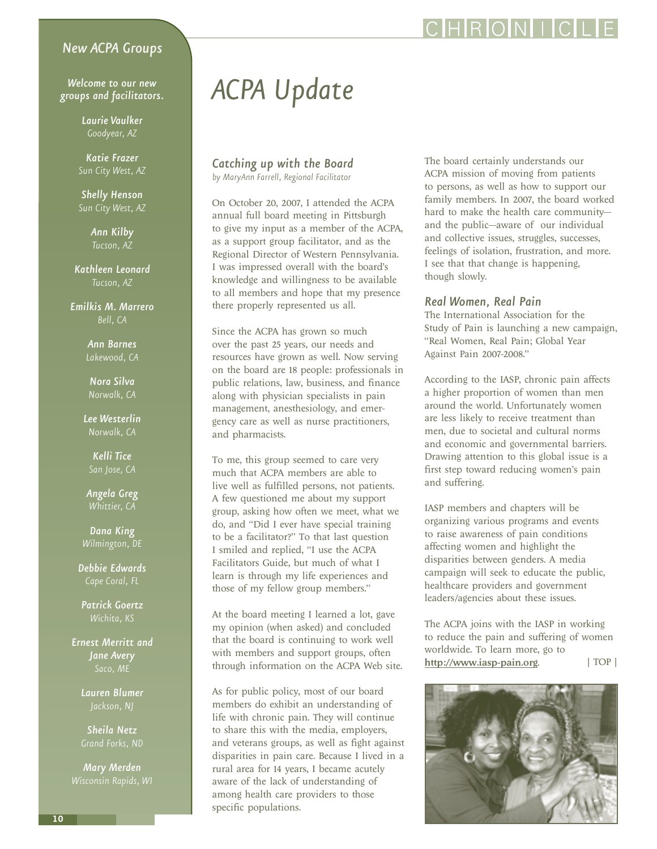### <span id="page-9-0"></span>*New ACPA Groups*

#### *Welcome to our new groups and facilitators.*

*Laurie Vaulker Goodyear, AZ*

*Katie Frazer Sun City West, AZ*

*Shelly Henson Sun City West, AZ*

> *Ann Kilby Tucson, AZ*

*Kathleen Leonard Tucson, AZ*

*Emilkis M. Marrero Bell, CA*

> *Ann Barnes Lakewood, CA*

*Nora Silva Norwalk, CA*

*Lee Westerlin Norwalk, CA*

*Kelli Tice San Jose, CA*

*Angela Greg Whittier, CA*

*Dana King Wilmington, DE*

*Debbie Edwards Cape Coral, FL*

*Patrick Goertz Wichita, KS*

*Ernest Merritt and Jane Avery Saco, ME*

*Lauren Blumer Jackson, NJ*

*Sheila Netz*

*Mary Merden*

## *ACPA Update*

*Catching up with the Board*

*by MaryAnn Farrell, Regional Facilitator* 

On October 20, 2007, I attended the ACPA annual full board meeting in Pittsburgh to give my input as a member of the ACPA, as a support group facilitator, and as the Regional Director of Western Pennsylvania. I was impressed overall with the board's knowledge and willingness to be available to all members and hope that my presence there properly represented us all.

Since the ACPA has grown so much over the past 25 years, our needs and resources have grown as well. Now serving on the board are 18 people: professionals in public relations, law, business, and finance along with physician specialists in pain management, anesthesiology, and emergency care as well as nurse practitioners, and pharmacists.

To me, this group seemed to care very much that ACPA members are able to live well as fulfilled persons, not patients. A few questioned me about my support group, asking how often we meet, what we do, and "Did I ever have special training to be a facilitator?" To that last question I smiled and replied, "I use the ACPA Facilitators Guide, but much of what I learn is through my life experiences and those of my fellow group members."

At the board meeting I learned a lot, gave my opinion (when asked) and concluded that the board is continuing to work well with members and support groups, often through information on the ACPA Web site.

As for public policy, most of our board members do exhibit an understanding of life with chronic pain. They will continue to share this with the media, employers, and veterans groups, as well as fight against disparities in pain care. Because I lived in a rural area for 14 years, I became acutely aware of the lack of understanding of among health care providers to those specific populations.

The board certainly understands our ACPA mission of moving from patients to persons, as well as how to support our family members. In 2007, the board worked hard to make the health care community and the public—aware of our individual and collective issues, struggles, successes, feelings of isolation, frustration, and more. I see that that change is happening, though slowly.

#### *Real Women, Real Pain*

The International Association for the Study of Pain is launching a new campaign, "Real Women, Real Pain; Global Year Against Pain 2007-2008."

According to the IASP, chronic pain affects a higher proportion of women than men around the world. Unfortunately women are less likely to receive treatment than men, due to societal and cultural norms and economic and governmental barriers. Drawing attention to this global issue is a first step toward reducing women's pain and suffering.

IASP members and chapters will be organizing various programs and events to raise awareness of pain conditions affecting women and highlight the disparities between genders. A media campaign will seek to educate the public, healthcare providers and government leaders/agencies about these issues.

The ACPA joins with the IASP in working to reduce the pain and suffering of women worldwide. To learn more, go to http://www.iasp-pain.org. [| TOP |](#page-0-1)

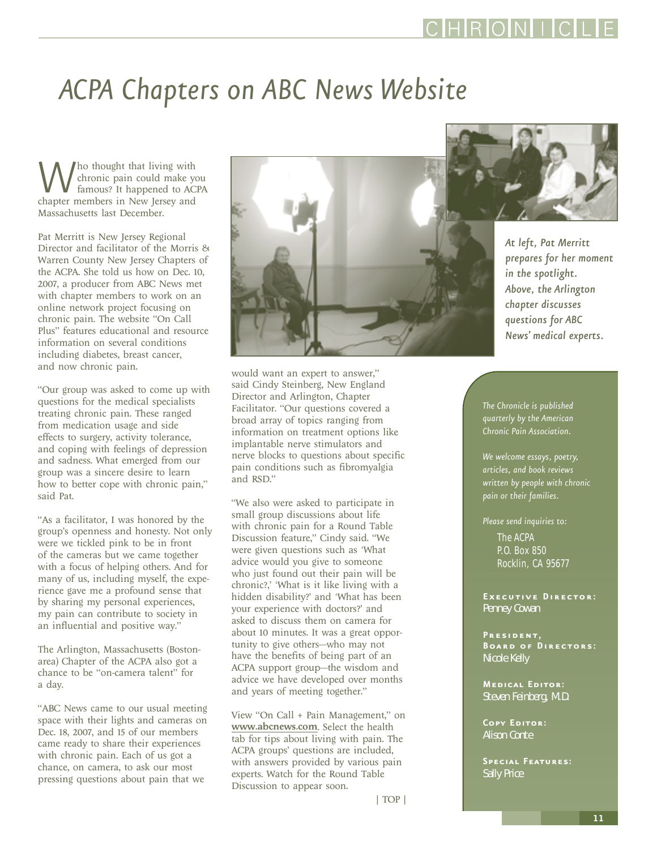### IOINLI

## <span id="page-10-0"></span>*ACPA Chapters on ABC News Website*

Who thought that living with<br>famous? It happened to AC<br>chapter members in New Jersey and chronic pain could make you famous? It happened to ACPA Massachusetts last December.

Pat Merritt is New Jersey Regional Director and facilitator of the Morris & Warren County New Jersey Chapters of the ACPA. She told us how on Dec. 10, 2007, a producer from ABC News met with chapter members to work on an online network project focusing on chronic pain. The website "On Call Plus" features educational and resource information on several conditions including diabetes, breast cancer, and now chronic pain.

"Our group was asked to come up with questions for the medical specialists treating chronic pain. These ranged from medication usage and side effects to surgery, activity tolerance, and coping with feelings of depression and sadness. What emerged from our group was a sincere desire to learn how to better cope with chronic pain," said Pat.

"As a facilitator, I was honored by the group's openness and honesty. Not only were we tickled pink to be in front of the cameras but we came together with a focus of helping others. And for many of us, including myself, the experience gave me a profound sense that by sharing my personal experiences, my pain can contribute to society in an influential and positive way."

The Arlington, Massachusetts (Bostonarea) Chapter of the ACPA also got a chance to be "on-camera talent" for a day.

"ABC News came to our usual meeting space with their lights and cameras on Dec. 18, 2007, and 15 of our members came ready to share their experiences with chronic pain. Each of us got a chance, on camera, to ask our most pressing questions about pain that we



would want an expert to answer," said Cindy Steinberg, New England Director and Arlington, Chapter Facilitator. "Our questions covered a broad array of topics ranging from information on treatment options like implantable nerve stimulators and nerve blocks to questions about specific pain conditions such as fibromyalgia and RSD."

"We also were asked to participate in small group discussions about life with chronic pain for a Round Table Discussion feature," Cindy said. "We were given questions such as 'What advice would you give to someone who just found out their pain will be chronic?,' 'What is it like living with a hidden disability?' and 'What has been your experience with doctors?' and asked to discuss them on camera for about 10 minutes. It was a great opportunity to give others—who may not have the benefits of being part of an ACPA support group—the wisdom and advice we have developed over months and years of meeting together."

View "On Call + Pain Management," on www.abcnews.com. Select the health tab for tips about living with pain. The ACPA groups' questions are included, with answers provided by various pain experts. Watch for the Round Table Discussion to appear soon.

*The Chronicle is published quarterly by the American Chronic Pain Association.*

*We welcome essays, poetry, articles, and book reviews written by people with chronic pain or their families.*

*Please send inquiries to:*

The ACPA P.O. Box 850 Rocklin, CA 95677

**Executive Director:** Penney Cowan

**President, Board of Directors:** Nicole Kelly

**Medical Editor:** Steven Feinberg, M.D.

**Copy Editor:** Alison Conte

**Special Features:** Sally Price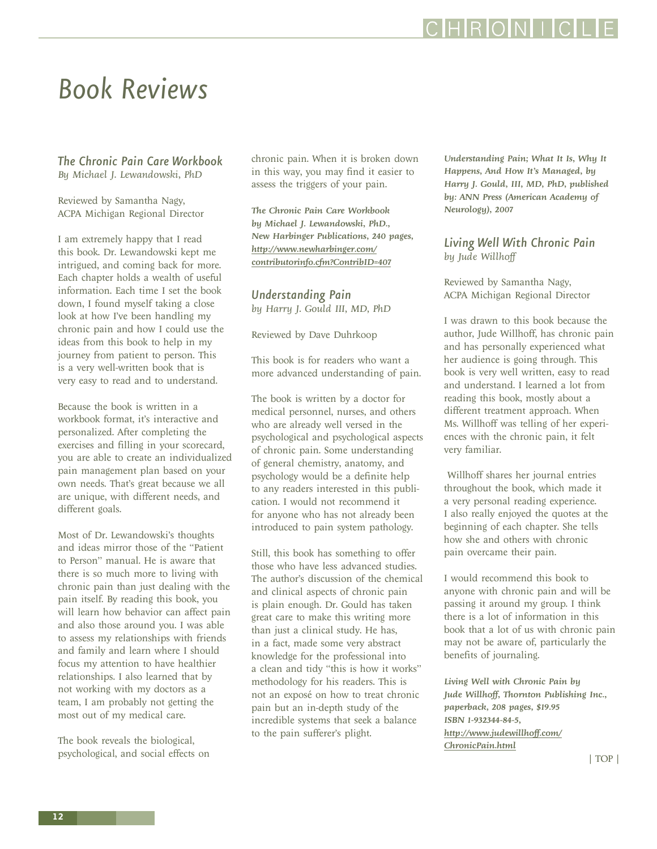**12**

### <span id="page-11-0"></span>*Book Reviews*

### *The Chronic Pain Care Workbook*

*By Michael J. Lewandowski, PhD* 

Reviewed by Samantha Nagy, ACPA Michigan Regional Director

I am extremely happy that I read this book. Dr. Lewandowski kept me intrigued, and coming back for more. Each chapter holds a wealth of useful information. Each time I set the book down, I found myself taking a close look at how I've been handling my chronic pain and how I could use the ideas from this book to help in my journey from patient to person. This is a very well-written book that is very easy to read and to understand.

Because the book is written in a workbook format, it's interactive and personalized. After completing the exercises and filling in your scorecard, you are able to create an individualized pain management plan based on your own needs. That's great because we all are unique, with different needs, and different goals.

Most of Dr. Lewandowski's thoughts and ideas mirror those of the "Patient to Person" manual. He is aware that there is so much more to living with chronic pain than just dealing with the pain itself. By reading this book, you will learn how behavior can affect pain and also those around you. I was able to assess my relationships with friends and family and learn where I should focus my attention to have healthier relationships. I also learned that by not working with my doctors as a team, I am probably not getting the most out of my medical care.

The book reveals the biological, psychological, and social effects on chronic pain. When it is broken down in this way, you may find it easier to assess the triggers of your pain.

*The Chronic Pain Care Workbook by Michael J. Lewandowski, PhD., New Harbinger Publications, 240 pages, http://www.newharbinger.com/ contributorinfo.cfm?ContribID=407*

*Understanding Pain by Harry J. Gould III, MD, PhD* 

Reviewed by Dave Duhrkoop

This book is for readers who want a more advanced understanding of pain.

The book is written by a doctor for medical personnel, nurses, and others who are already well versed in the psychological and psychological aspects of chronic pain. Some understanding of general chemistry, anatomy, and psychology would be a definite help to any readers interested in this publication. I would not recommend it for anyone who has not already been introduced to pain system pathology.

Still, this book has something to offer those who have less advanced studies. The author's discussion of the chemical and clinical aspects of chronic pain is plain enough. Dr. Gould has taken great care to make this writing more than just a clinical study. He has, in a fact, made some very abstract knowledge for the professional into a clean and tidy "this is how it works" methodology for his readers. This is not an exposé on how to treat chronic pain but an in-depth study of the incredible systems that seek a balance to the pain sufferer's plight.

*Understanding Pain; What It Is, Why It Happens, And How It's Managed, by Harry J. Gould, III, MD, PhD, published by: ANN Press (American Academy of Neurology), 2007*

CHRONIC

*Living Well With Chronic Pain by Jude Willhoff* 

Reviewed by Samantha Nagy, ACPA Michigan Regional Director

I was drawn to this book because the author, Jude Willhoff, has chronic pain and has personally experienced what her audience is going through. This book is very well written, easy to read and understand. I learned a lot from reading this book, mostly about a different treatment approach. When Ms. Willhoff was telling of her experiences with the chronic pain, it felt very familiar.

Willhoff shares her journal entries throughout the book, which made it a very personal reading experience. I also really enjoyed the quotes at the beginning of each chapter. She tells how she and others with chronic pain overcame their pain.

I would recommend this book to anyone with chronic pain and will be passing it around my group. I think there is a lot of information in this book that a lot of us with chronic pain may not be aware of, particularly the benefits of journaling.

*Living Well with Chronic Pain by Jude Willhoff, Thornton Publishing Inc., paperback, 208 pages, \$19.95 ISBN 1-932344-84-5, http://www.judewillhoff.com/ ChronicPain.html*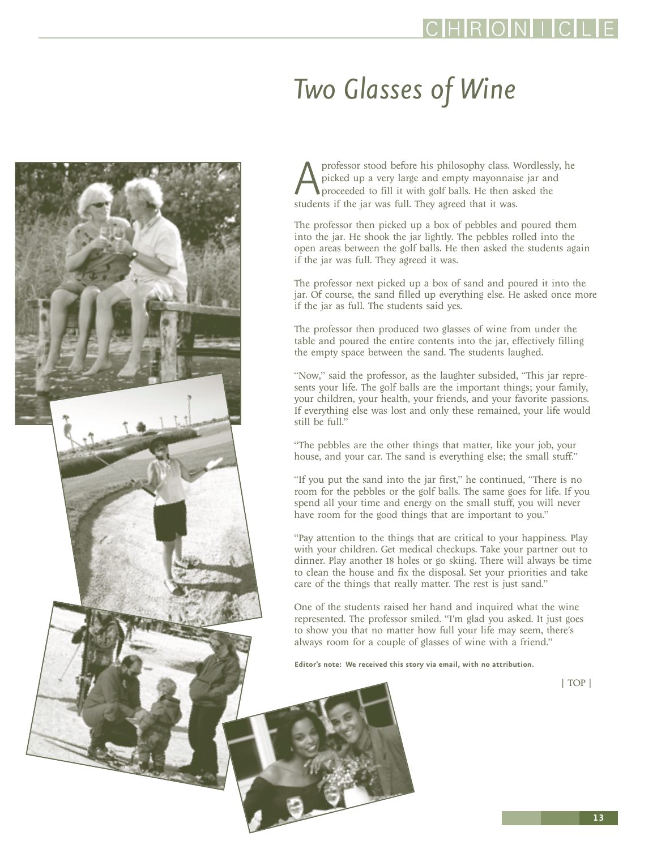## *Two Glasses of Wine*

**A** professor stood before his philosophy class. Wordlessly, he picked up a very large and empty mayonnaise jar and proceeded to fill it with golf balls. He then asked the students if the jar was full. They agreed that it picked up a very large and empty mayonnaise jar and proceeded to fill it with golf balls. He then asked the students if the jar was full. They agreed that it was.

The professor then picked up a box of pebbles and poured them into the jar. He shook the jar lightly. The pebbles rolled into the open areas between the golf balls. He then asked the students again if the jar was full. They agreed it was.

The professor next picked up a box of sand and poured it into the jar. Of course, the sand filled up everything else. He asked once more if the jar as full. The students said yes.

The professor then produced two glasses of wine from under the table and poured the entire contents into the jar, effectively filling the empty space between the sand. The students laughed.

"Now," said the professor, as the laughter subsided, "This jar represents your life. The golf balls are the important things; your family, your children, your health, your friends, and your favorite passions. If everything else was lost and only these remained, your life would still be full."

"The pebbles are the other things that matter, like your job, your house, and your car. The sand is everything else; the small stuff."

"If you put the sand into the jar first," he continued, "There is no room for the pebbles or the golf balls. The same goes for life. If you spend all your time and energy on the small stuff, you will never have room for the good things that are important to you."

"Pay attention to the things that are critical to your happiness. Play with your children. Get medical checkups. Take your partner out to dinner. Play another 18 holes or go skiing. There will always be time to clean the house and fix the disposal. Set your priorities and take care of the things that really matter. The rest is just sand."

One of the students raised her hand and inquired what the wine represented. The professor smiled. "I'm glad you asked. It just goes to show you that no matter how full your life may seem, there's always room for a couple of glasses of wine with a friend."

**Editor's note: We received this story via email, with no attribution.**